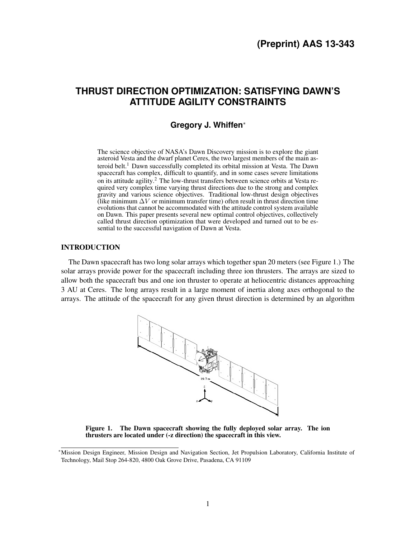# **THRUST DIRECTION OPTIMIZATION: SATISFYING DAWN'S ATTITUDE AGILITY CONSTRAINTS**

## **Gregory J. Whiffen**<sup>∗</sup>

The science objective of NASA's Dawn Discovery mission is to explore the giant asteroid Vesta and the dwarf planet Ceres, the two largest members of the main as-teroid belt.<sup>[1](#page-15-0)</sup> Dawn successfully completed its orbital mission at Vesta. The Dawn spacecraft has complex, difficult to quantify, and in some cases severe limitations on its attitude agility.[2](#page-15-1) The low-thrust transfers between science orbits at Vesta required very complex time varying thrust directions due to the strong and complex gravity and various science objectives. Traditional low-thrust design objectives (like minimum  $\Delta V$  or minimum transfer time) often result in thrust direction time evolutions that cannot be accommodated with the attitude control system available on Dawn. This paper presents several new optimal control objectives, collectively called thrust direction optimization that were developed and turned out to be essential to the successful navigation of Dawn at Vesta.

## INTRODUCTION

The Dawn spacecraft has two long solar arrays which together span 20 meters (see Figure [1.](#page-0-0)) The solar arrays provide power for the spacecraft including three ion thrusters. The arrays are sized to allow both the spacecraft bus and one ion thruster to operate at heliocentric distances approaching 3 AU at Ceres. The long arrays result in a large moment of inertia along axes orthogonal to the arrays. The attitude of the spacecraft for any given thrust direction is determined by an algorithm



<span id="page-0-0"></span>Figure 1. The Dawn spacecraft showing the fully deployed solar array. The ion thrusters are located under (-z direction) the spacecraft in this view.

<sup>∗</sup>Mission Design Engineer, Mission Design and Navigation Section, Jet Propulsion Laboratory, California Institute of Technology, Mail Stop 264-820, 4800 Oak Grove Drive, Pasadena, CA 91109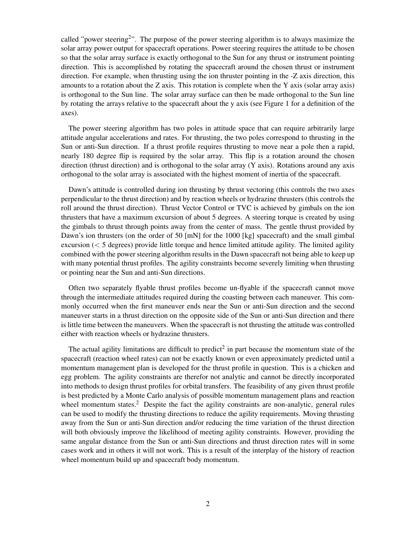called "power steering<sup>[2](#page-15-1)</sup>". The purpose of the power steering algorithm is to always maximize the solar array power output for spacecraft operations. Power steering requires the attitude to be chosen so that the solar array surface is exactly orthogonal to the Sun for any thrust or instrument pointing direction. This is accomplished by rotating the spacecraft around the chosen thrust or instrument direction. For example, when thrusting using the ion thruster pointing in the -Z axis direction, this amounts to a rotation about the Z axis. This rotation is complete when the Y axis (solar array axis) is orthogonal to the Sun line. The solar array surface can then be made orthogonal to the Sun line by rotating the arrays relative to the spacecraft about the y axis (see Figure [1](#page-0-0) for a definition of the axes).

The power steering algorithm has two poles in attitude space that can require arbitrarily large attitude angular accelerations and rates. For thrusting, the two poles correspond to thrusting in the Sun or anti-Sun direction. If a thrust profile requires thrusting to move near a pole then a rapid, nearly 180 degree flip is required by the solar array. This flip is a rotation around the chosen direction (thrust direction) and is orthogonal to the solar array (Y axis). Rotations around any axis orthogonal to the solar array is associated with the highest moment of inertia of the spacecraft.

Dawn's attitude is controlled during ion thrusting by thrust vectoring (this controls the two axes perpendicular to the thrust direction) and by reaction wheels or hydrazine thrusters (this controls the roll around the thrust direction). Thrust Vector Control or TVC is achieved by gimbals on the ion thrusters that have a maximum excursion of about 5 degrees. A steering torque is created by using the gimbals to thrust through points away from the center of mass. The gentle thrust provided by Dawn's ion thrusters (on the order of 50 [mN] for the 1000 [kg] spacecraft) and the small gimbal excursion  $(< 5$  degrees) provide little torque and hence limited attitude agility. The limited agility combined with the power steering algorithm results in the Dawn spacecraft not being able to keep up with many potential thrust profiles. The agility constraints become severely limiting when thrusting or pointing near the Sun and anti-Sun directions.

Often two separately flyable thrust profiles become un-flyable if the spacecraft cannot move through the intermediate attitudes required during the coasting between each maneuver. This commonly occurred when the first maneuver ends near the Sun or anti-Sun direction and the second maneuver starts in a thrust direction on the opposite side of the Sun or anti-Sun direction and there is little time between the maneuvers. When the spacecraft is not thrusting the attitude was controlled either with reaction wheels or hydrazine thrusters.

The actual agility limitations are difficult to predict<sup>[2](#page-15-1)</sup> in part because the momentum state of the spacecraft (reaction wheel rates) can not be exactly known or even approximately predicted until a momentum management plan is developed for the thrust profile in question. This is a chicken and egg problem. The agility constraints are therefor not analytic and cannot be directly incorporated into methods to design thrust profiles for orbital transfers. The feasibility of any given thrust profile is best predicted by a Monte Carlo analysis of possible momentum management plans and reaction wheel momentum states.<sup>[2](#page-15-1)</sup> Despite the fact the agility constraints are non-analytic, general rules can be used to modify the thrusting directions to reduce the agility requirements. Moving thrusting away from the Sun or anti-Sun direction and/or reducing the time variation of the thrust direction will both obviously improve the likelihood of meeting agility constraints. However, providing the same angular distance from the Sun or anti-Sun directions and thrust direction rates will in some cases work and in others it will not work. This is a result of the interplay of the history of reaction wheel momentum build up and spacecraft body momentum.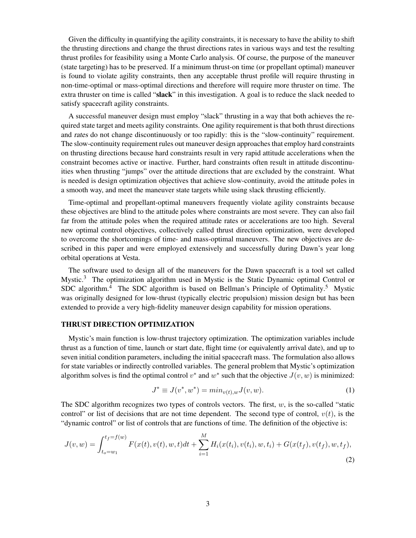Given the difficulty in quantifying the agility constraints, it is necessary to have the ability to shift the thrusting directions and change the thrust directions rates in various ways and test the resulting thrust profiles for feasibility using a Monte Carlo analysis. Of course, the purpose of the maneuver (state targeting) has to be preserved. If a minimum thrust-on time (or propellant optimal) maneuver is found to violate agility constraints, then any acceptable thrust profile will require thrusting in non-time-optimal or mass-optimal directions and therefore will require more thruster on time. The extra thruster on time is called "slack" in this investigation. A goal is to reduce the slack needed to satisfy spacecraft agility constraints.

A successful maneuver design must employ "slack" thrusting in a way that both achieves the required state target and meets agility constraints. One agility requirement is that both thrust directions and rates do not change discontinuously or too rapidly: this is the "slow-continuity" requirement. The slow-continuity requirement rules out maneuver design approaches that employ hard constraints on thrusting directions because hard constraints result in very rapid attitude accelerations when the constraint becomes active or inactive. Further, hard constraints often result in attitude discontinuities when thrusting "jumps" over the attitude directions that are excluded by the constraint. What is needed is design optimization objectives that achieve slow-continuity, avoid the attitude poles in a smooth way, and meet the maneuver state targets while using slack thrusting efficiently.

Time-optimal and propellant-optimal maneuvers frequently violate agility constraints because these objectives are blind to the attitude poles where constraints are most severe. They can also fail far from the attitude poles when the required attitude rates or accelerations are too high. Several new optimal control objectives, collectively called thrust direction optimization, were developed to overcome the shortcomings of time- and mass-optimal maneuvers. The new objectives are described in this paper and were employed extensively and successfully during Dawn's year long orbital operations at Vesta.

The software used to design all of the maneuvers for the Dawn spacecraft is a tool set called Mystic.<sup>[3](#page-15-2)</sup> The optimization algorithm used in Mystic is the Static Dynamic optimal Control or SDC algorithm.<sup>[4](#page-15-3)</sup> The SDC algorithm is based on Bellman's Principle of Optimality.<sup>[5](#page-15-4)</sup> Mystic was originally designed for low-thrust (typically electric propulsion) mission design but has been extended to provide a very high-fidelity maneuver design capability for mission operations.

## THRUST DIRECTION OPTIMIZATION

Mystic's main function is low-thrust trajectory optimization. The optimization variables include thrust as a function of time, launch or start date, flight time (or equivalently arrival date), and up to seven initial condition parameters, including the initial spacecraft mass. The formulation also allows for state variables or indirectly controlled variables. The general problem that Mystic's optimization algorithm solves is find the optimal control  $v^*$  and  $w^*$  such that the objective  $J(v, w)$  is minimized:

$$
J^* \equiv J(v^*, w^*) = min_{v(t),w} J(v, w).
$$
 (1)

The SDC algorithm recognizes two types of controls vectors. The first,  $w$ , is the so-called "static control" or list of decisions that are not time dependent. The second type of control,  $v(t)$ , is the "dynamic control" or list of controls that are functions of time. The definition of the objective is:

<span id="page-2-0"></span>
$$
J(v, w) = \int_{t_o = w_1}^{t_f = f(w)} F(x(t), v(t), w, t)dt + \sum_{i=1}^{M} H_i(x(t_i), v(t_i), w, t_i) + G(x(t_f), v(t_f), w, t_f),
$$
\n(2)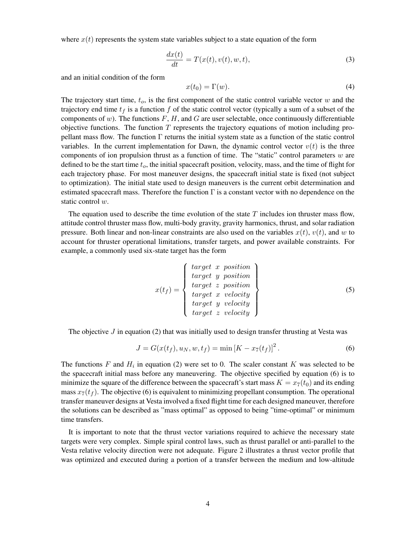where  $x(t)$  represents the system state variables subject to a state equation of the form

$$
\frac{dx(t)}{dt} = T(x(t), v(t), w, t),\tag{3}
$$

and an initial condition of the form

$$
x(t_0) = \Gamma(w). \tag{4}
$$

The trajectory start time,  $t_o$ , is the first component of the static control variable vector  $w$  and the trajectory end time  $t_f$  is a function f of the static control vector (typically a sum of a subset of the components of w). The functions  $F$ ,  $H$ , and  $G$  are user selectable, once continuously differentiable objective functions. The function  $T$  represents the trajectory equations of motion including propellant mass flow. The function  $\Gamma$  returns the initial system state as a function of the static control variables. In the current implementation for Dawn, the dynamic control vector  $v(t)$  is the three components of ion propulsion thrust as a function of time. The "static" control parameters  $w$  are defined to be the start time  $t_o$ , the initial spacecraft position, velocity, mass, and the time of flight for each trajectory phase. For most maneuver designs, the spacecraft initial state is fixed (not subject to optimization). The initial state used to design maneuvers is the current orbit determination and estimated spacecraft mass. Therefore the function  $\Gamma$  is a constant vector with no dependence on the static control w.

The equation used to describe the time evolution of the state  $T$  includes ion thruster mass flow, attitude control thruster mass flow, multi-body gravity, gravity harmonics, thrust, and solar radiation pressure. Both linear and non-linear constraints are also used on the variables  $x(t)$ ,  $v(t)$ , and w to account for thruster operational limitations, transfer targets, and power available constraints. For example, a commonly used six-state target has the form

$$
x(t_f) = \begin{cases} target \ x \ position \\ target \ y \ position \\ target \ z \ position \\ target \ x \ velocity \\ target \ y \ velocity \\ target \ z \ velocity \end{cases} \tag{5}
$$

The objective  $J$  in equation [\(2\)](#page-2-0) that was initially used to design transfer thrusting at Vesta was

<span id="page-3-0"></span>
$$
J = G(x(t_f), u_N, w, t_f) = \min [K - x_7(t_f)]^2.
$$
 (6)

The functions F and  $H_i$  in equation [\(2\)](#page-2-0) were set to 0. The scaler constant K was selected to be the spacecraft initial mass before any maneuvering. The objective specified by equation [\(6\)](#page-3-0) is to minimize the square of the difference between the spacecraft's start mass  $K = x_7(t_0)$  and its ending mass  $x_7(t_f)$ . The objective [\(6\)](#page-3-0) is equivalent to minimizing propellant consumption. The operational transfer maneuver designs at Vesta involved a fixed flight time for each designed maneuver, therefore the solutions can be described as "mass optimal" as opposed to being "time-optimal" or minimum time transfers.

It is important to note that the thrust vector variations required to achieve the necessary state targets were very complex. Simple spiral control laws, such as thrust parallel or anti-parallel to the Vesta relative velocity direction were not adequate. Figure [2](#page-4-0) illustrates a thrust vector profile that was optimized and executed during a portion of a transfer between the medium and low-altitude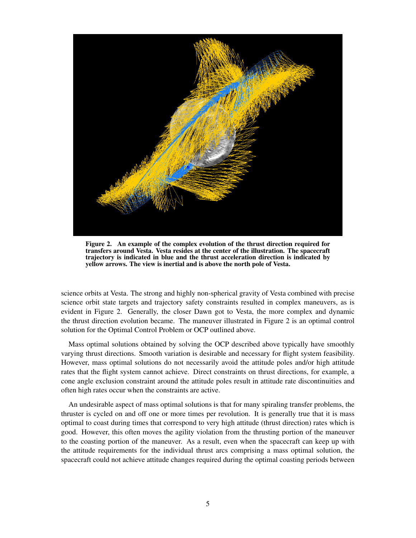

Figure 2. An example of the complex evolution of the thrust direction required for transfers around Vesta. Vesta resides at the center of the illustration. The spacecraft trajectory is indicated in blue and the thrust acceleration direction is indicated by yellow arrows. The view is inertial and is above the north pole of Vesta.

<span id="page-4-0"></span>science orbits at Vesta. The strong and highly non-spherical gravity of Vesta combined with precise science orbit state targets and trajectory safety constraints resulted in complex maneuvers, as is evident in Figure [2.](#page-4-0) Generally, the closer Dawn got to Vesta, the more complex and dynamic the thrust direction evolution became. The maneuver illustrated in Figure [2](#page-4-0) is an optimal control solution for the Optimal Control Problem or OCP outlined above.

Mass optimal solutions obtained by solving the OCP described above typically have smoothly varying thrust directions. Smooth variation is desirable and necessary for flight system feasibility. However, mass optimal solutions do not necessarily avoid the attitude poles and/or high attitude rates that the flight system cannot achieve. Direct constraints on thrust directions, for example, a cone angle exclusion constraint around the attitude poles result in attitude rate discontinuities and often high rates occur when the constraints are active.

An undesirable aspect of mass optimal solutions is that for many spiraling transfer problems, the thruster is cycled on and off one or more times per revolution. It is generally true that it is mass optimal to coast during times that correspond to very high attitude (thrust direction) rates which is good. However, this often moves the agility violation from the thrusting portion of the maneuver to the coasting portion of the maneuver. As a result, even when the spacecraft can keep up with the attitude requirements for the individual thrust arcs comprising a mass optimal solution, the spacecraft could not achieve attitude changes required during the optimal coasting periods between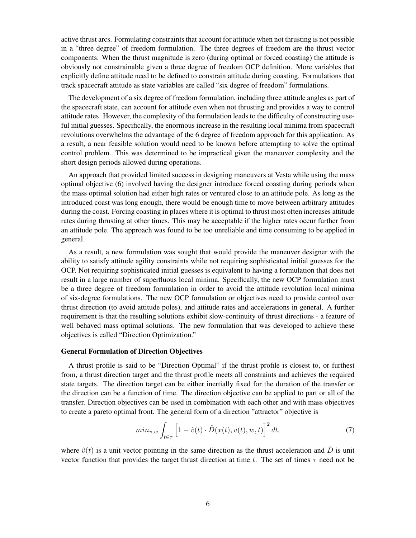active thrust arcs. Formulating constraints that account for attitude when not thrusting is not possible in a "three degree" of freedom formulation. The three degrees of freedom are the thrust vector components. When the thrust magnitude is zero (during optimal or forced coasting) the attitude is obviously not constrainable given a three degree of freedom OCP definition. More variables that explicitly define attitude need to be defined to constrain attitude during coasting. Formulations that track spacecraft attitude as state variables are called "six degree of freedom" formulations.

The development of a six degree of freedom formulation, including three attitude angles as part of the spacecraft state, can account for attitude even when not thrusting and provides a way to control attitude rates. However, the complexity of the formulation leads to the difficulty of constructing useful initial guesses. Specifically, the enormous increase in the resulting local minima from spacecraft revolutions overwhelms the advantage of the 6 degree of freedom approach for this application. As a result, a near feasible solution would need to be known before attempting to solve the optimal control problem. This was determined to be impractical given the maneuver complexity and the short design periods allowed during operations.

An approach that provided limited success in designing maneuvers at Vesta while using the mass optimal objective [\(6\)](#page-3-0) involved having the designer introduce forced coasting during periods when the mass optimal solution had either high rates or ventured close to an attitude pole. As long as the introduced coast was long enough, there would be enough time to move between arbitrary attitudes during the coast. Forcing coasting in places where it is optimal to thrust most often increases attitude rates during thrusting at other times. This may be acceptable if the higher rates occur further from an attitude pole. The approach was found to be too unreliable and time consuming to be applied in general.

As a result, a new formulation was sought that would provide the maneuver designer with the ability to satisfy attitude agility constraints while not requiring sophisticated initial guesses for the OCP. Not requiring sophisticated initial guesses is equivalent to having a formulation that does not result in a large number of superfluous local minima. Specifically, the new OCP formulation must be a three degree of freedom formulation in order to avoid the attitude revolution local minima of six-degree formulations. The new OCP formulation or objectives need to provide control over thrust direction (to avoid attitude poles), and attitude rates and accelerations in general. A further requirement is that the resulting solutions exhibit slow-continuity of thrust directions - a feature of well behaved mass optimal solutions. The new formulation that was developed to achieve these objectives is called "Direction Optimization."

### General Formulation of Direction Objectives

A thrust profile is said to be "Direction Optimal" if the thrust profile is closest to, or furthest from, a thrust direction target and the thrust profile meets all constraints and achieves the required state targets. The direction target can be either inertially fixed for the duration of the transfer or the direction can be a function of time. The direction objective can be applied to part or all of the transfer. Direction objectives can be used in combination with each other and with mass objectives to create a pareto optimal front. The general form of a direction "attractor" objective is

$$
min_{v,w} \int_{t \in \tau} \left[1 - \hat{v}(t) \cdot \hat{D}(x(t), v(t), w, t)\right]^2 dt, \tag{7}
$$

where  $\hat{v}(t)$  is a unit vector pointing in the same direction as the thrust acceleration and  $\hat{D}$  is unit vector function that provides the target thrust direction at time t. The set of times  $\tau$  need not be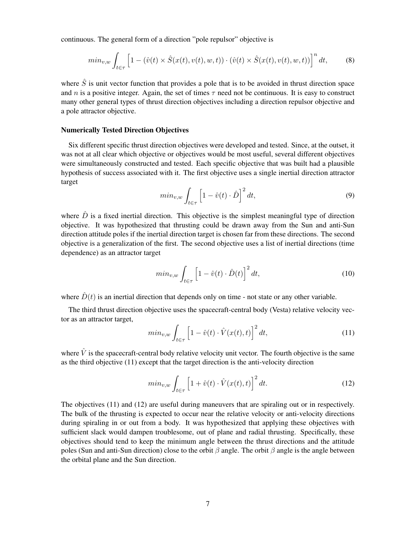continuous. The general form of a direction "pole repulsor" objective is

$$
min_{v,w} \int_{t \in \tau} \left[1 - (\hat{v}(t) \times \hat{S}(x(t), v(t), w, t)) \cdot (\hat{v}(t) \times \hat{S}(x(t), v(t), w, t))\right]^n dt,
$$
 (8)

where  $\hat{S}$  is unit vector function that provides a pole that is to be avoided in thrust direction space and n is a positive integer. Again, the set of times  $\tau$  need not be continuous. It is easy to construct many other general types of thrust direction objectives including a direction repulsor objective and a pole attractor objective.

### Numerically Tested Direction Objectives

Six different specific thrust direction objectives were developed and tested. Since, at the outset, it was not at all clear which objective or objectives would be most useful, several different objectives were simultaneously constructed and tested. Each specific objective that was built had a plausible hypothesis of success associated with it. The first objective uses a single inertial direction attractor target

<span id="page-6-2"></span>
$$
min_{v,w} \int_{t \in \tau} \left[1 - \hat{v}(t) \cdot \hat{D}\right]^2 dt,
$$
\n(9)

where  $\hat{D}$  is a fixed inertial direction. This objective is the simplest meaningful type of direction objective. It was hypothesized that thrusting could be drawn away from the Sun and anti-Sun direction attitude poles if the inertial direction target is chosen far from these directions. The second objective is a generalization of the first. The second objective uses a list of inertial directions (time dependence) as an attractor target

<span id="page-6-3"></span>
$$
min_{v,w} \int_{t \in \tau} \left[1 - \hat{v}(t) \cdot \hat{D}(t)\right]^2 dt,
$$
\n(10)

where  $\hat{D}(t)$  is an inertial direction that depends only on time - not state or any other variable.

The third thrust direction objective uses the spacecraft-central body (Vesta) relative velocity vector as an attractor target,

<span id="page-6-0"></span>
$$
min_{v,w} \int_{t \in \tau} \left[1 - \hat{v}(t) \cdot \hat{V}(x(t), t)\right]^2 dt,
$$
\n(11)

where  $\hat{V}$  is the spacecraft-central body relative velocity unit vector. The fourth objective is the same as the third objective [\(11\)](#page-6-0) except that the target direction is the anti-velocity direction

<span id="page-6-1"></span>
$$
min_{v,w} \int_{t \in \tau} \left[ 1 + \hat{v}(t) \cdot \hat{V}(x(t),t) \right]^2 dt.
$$
 (12)

The objectives [\(11\)](#page-6-0) and [\(12\)](#page-6-1) are useful during maneuvers that are spiraling out or in respectively. The bulk of the thrusting is expected to occur near the relative velocity or anti-velocity directions during spiraling in or out from a body. It was hypothesized that applying these objectives with sufficient slack would dampen troublesome, out of plane and radial thrusting. Specifically, these objectives should tend to keep the minimum angle between the thrust directions and the attitude poles (Sun and anti-Sun direction) close to the orbit  $\beta$  angle. The orbit  $\beta$  angle is the angle between the orbital plane and the Sun direction.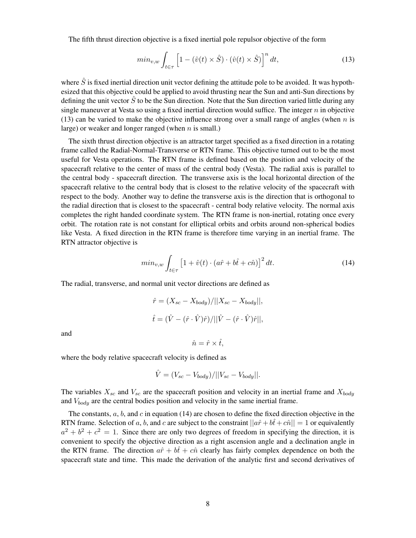The fifth thrust direction objective is a fixed inertial pole repulsor objective of the form

<span id="page-7-0"></span>
$$
min_{v,w} \int_{t \in \tau} \left[ 1 - (\hat{v}(t) \times \hat{S}) \cdot (\hat{v}(t) \times \hat{S}) \right]^n dt,
$$
\n(13)

where  $\hat{S}$  is fixed inertial direction unit vector defining the attitude pole to be avoided. It was hypothesized that this objective could be applied to avoid thrusting near the Sun and anti-Sun directions by defining the unit vector  $\hat{S}$  to be the Sun direction. Note that the Sun direction varied little during any single maneuver at Vesta so using a fixed inertial direction would suffice. The integer  $n$  in objective [\(13\)](#page-7-0) can be varied to make the objective influence strong over a small range of angles (when  $n$  is large) or weaker and longer ranged (when  $n$  is small.)

The sixth thrust direction objective is an attractor target specified as a fixed direction in a rotating frame called the Radial-Normal-Transverse or RTN frame. This objective turned out to be the most useful for Vesta operations. The RTN frame is defined based on the position and velocity of the spacecraft relative to the center of mass of the central body (Vesta). The radial axis is parallel to the central body - spacecraft direction. The transverse axis is the local horizontal direction of the spacecraft relative to the central body that is closest to the relative velocity of the spacecraft with respect to the body. Another way to define the transverse axis is the direction that is orthogonal to the radial direction that is closest to the spacecraft - central body relative velocity. The normal axis completes the right handed coordinate system. The RTN frame is non-inertial, rotating once every orbit. The rotation rate is not constant for elliptical orbits and orbits around non-spherical bodies like Vesta. A fixed direction in the RTN frame is therefore time varying in an inertial frame. The RTN attractor objective is

<span id="page-7-1"></span>
$$
min_{v,w} \int_{t \in \tau} \left[1 + \hat{v}(t) \cdot (a\hat{r} + b\hat{t} + c\hat{n})\right]^2 dt.
$$
 (14)

The radial, transverse, and normal unit vector directions are defined as

$$
\hat{r} = (X_{sc} - X_{body})/||X_{sc} - X_{body}||,
$$
  

$$
\hat{t} = (\hat{V} - (\hat{r} \cdot \hat{V})\hat{r})/||\hat{V} - (\hat{r} \cdot \hat{V})\hat{r}||,
$$

 $\hat{n} = \hat{r} \times \hat{t}$ .

and

where the body relative spacecraft velocity is defined as

$$
\hat{V} = (V_{sc} - V_{body})/||V_{sc} - V_{body}||.
$$

The variables  $X_{sc}$  and  $V_{sc}$  are the spacecraft position and velocity in an inertial frame and  $X_{body}$ and  $V_{body}$  are the central bodies position and velocity in the same inertial frame.

The constants,  $a, b$ , and c in equation [\(14\)](#page-7-1) are chosen to define the fixed direction objective in the RTN frame. Selection of a, b, and c are subject to the constraint  $||a\hat{r}+b\hat{t}+c\hat{n}||=1$  or equivalently  $a^2 + b^2 + c^2 = 1$ . Since there are only two degrees of freedom in specifying the direction, it is convenient to specify the objective direction as a right ascension angle and a declination angle in the RTN frame. The direction  $a\hat{r} + b\hat{t} + c\hat{n}$  clearly has fairly complex dependence on both the spacecraft state and time. This made the derivation of the analytic first and second derivatives of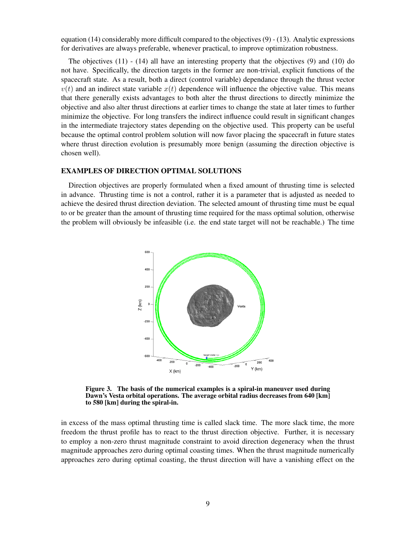equation [\(14\)](#page-7-1) considerably more difficult compared to the objectives [\(9\)](#page-6-2) - [\(13\)](#page-7-0). Analytic expressions for derivatives are always preferable, whenever practical, to improve optimization robustness.

The objectives  $(11)$  -  $(14)$  all have an interesting property that the objectives  $(9)$  and  $(10)$  do not have. Specifically, the direction targets in the former are non-trivial, explicit functions of the spacecraft state. As a result, both a direct (control variable) dependance through the thrust vector  $v(t)$  and an indirect state variable  $x(t)$  dependence will influence the objective value. This means that there generally exists advantages to both alter the thrust directions to directly minimize the objective and also alter thrust directions at earlier times to change the state at later times to further minimize the objective. For long transfers the indirect influence could result in significant changes in the intermediate trajectory states depending on the objective used. This property can be useful because the optimal control problem solution will now favor placing the spacecraft in future states where thrust direction evolution is presumably more benign (assuming the direction objective is chosen well).

### EXAMPLES OF DIRECTION OPTIMAL SOLUTIONS

Direction objectives are properly formulated when a fixed amount of thrusting time is selected in advance. Thrusting time is not a control, rather it is a parameter that is adjusted as needed to achieve the desired thrust direction deviation. The selected amount of thrusting time must be equal to or be greater than the amount of thrusting time required for the mass optimal solution, otherwise the problem will obviously be infeasible (i.e. the end state target will not be reachable.) The time



<span id="page-8-0"></span>Figure 3. The basis of the numerical examples is a spiral-in maneuver used during Dawn's Vesta orbital operations. The average orbital radius decreases from 640 [km] to 580 [km] during the spiral-in.

in excess of the mass optimal thrusting time is called slack time. The more slack time, the more freedom the thrust profile has to react to the thrust direction objective. Further, it is necessary to employ a non-zero thrust magnitude constraint to avoid direction degeneracy when the thrust magnitude approaches zero during optimal coasting times. When the thrust magnitude numerically approaches zero during optimal coasting, the thrust direction will have a vanishing effect on the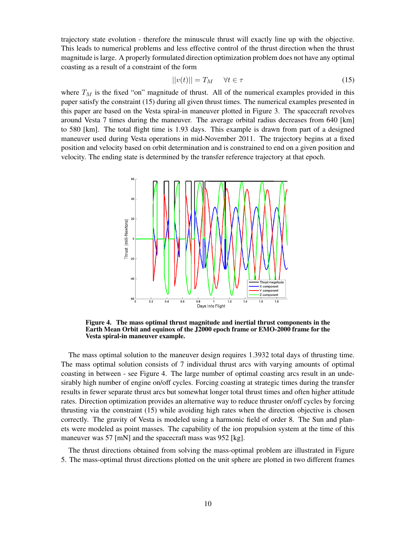trajectory state evolution - therefore the minuscule thrust will exactly line up with the objective. This leads to numerical problems and less effective control of the thrust direction when the thrust magnitude is large. A properly formulated direction optimization problem does not have any optimal coasting as a result of a constraint of the form

<span id="page-9-0"></span>
$$
||v(t)|| = T_M \quad \forall t \in \tau \tag{15}
$$

where  $T_M$  is the fixed "on" magnitude of thrust. All of the numerical examples provided in this paper satisfy the constraint [\(15\)](#page-9-0) during all given thrust times. The numerical examples presented in this paper are based on the Vesta spiral-in maneuver plotted in Figure [3.](#page-8-0) The spacecraft revolves around Vesta 7 times during the maneuver. The average orbital radius decreases from 640 [km] to 580 [km]. The total flight time is 1.93 days. This example is drawn from part of a designed maneuver used during Vesta operations in mid-November 2011. The trajectory begins at a fixed position and velocity based on orbit determination and is constrained to end on a given position and velocity. The ending state is determined by the transfer reference trajectory at that epoch.



<span id="page-9-1"></span>Figure 4. The mass optimal thrust magnitude and inertial thrust components in the Earth Mean Orbit and equinox of the J2000 epoch frame or EMO-2000 frame for the Vesta spiral-in maneuver example.

The mass optimal solution to the maneuver design requires 1.3932 total days of thrusting time. The mass optimal solution consists of 7 individual thrust arcs with varying amounts of optimal coasting in between - see Figure [4.](#page-9-1) The large number of optimal coasting arcs result in an undesirably high number of engine on/off cycles. Forcing coasting at strategic times during the transfer results in fewer separate thrust arcs but somewhat longer total thrust times and often higher attitude rates. Direction optimization provides an alternative way to reduce thruster on/off cycles by forcing thrusting via the constraint [\(15\)](#page-9-0) while avoiding high rates when the direction objective is chosen correctly. The gravity of Vesta is modeled using a harmonic field of order 8. The Sun and planets were modeled as point masses. The capability of the ion propulsion system at the time of this maneuver was 57 [mN] and the spacecraft mass was 952 [kg].

The thrust directions obtained from solving the mass-optimal problem are illustrated in Figure [5.](#page-10-0) The mass-optimal thrust directions plotted on the unit sphere are plotted in two different frames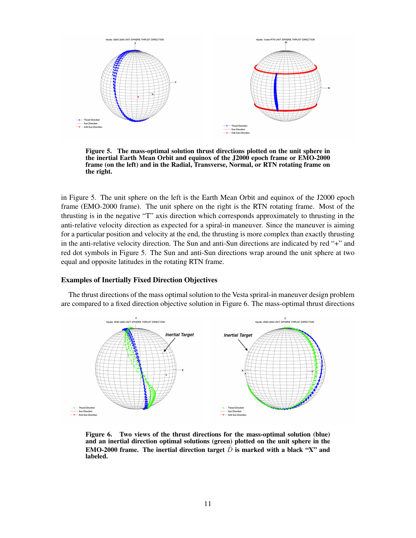

<span id="page-10-0"></span>Figure 5. The mass-optimal solution thrust directions plotted on the unit sphere in the inertial Earth Mean Orbit and equinox of the J2000 epoch frame or EMO-2000 frame (on the left) and in the Radial, Transverse, Normal, or RTN rotating frame on the right.

in Figure [5.](#page-10-0) The unit sphere on the left is the Earth Mean Orbit and equinox of the J2000 epoch frame (EMO-2000 frame). The unit sphere on the right is the RTN rotating frame. Most of the thrusting is in the negative "T" axis direction which corresponds approximately to thrusting in the anti-relative velocity direction as expected for a spiral-in maneuver. Since the maneuver is aiming for a particular position and velocity at the end, the thrusting is more complex than exactly thrusting in the anti-relative velocity direction. The Sun and anti-Sun directions are indicated by red "+" and red dot symbols in Figure [5.](#page-10-0) The Sun and anti-Sun directions wrap around the unit sphere at two equal and opposite latitudes in the rotating RTN frame.

## Examples of Inertially Fixed Direction Objectives

The thrust directions of the mass optimal solution to the Vesta spriral-in maneuver design problem are compared to a fixed direction objective solution in Figure [6.](#page-10-1) The mass-optimal thrust directions



<span id="page-10-1"></span>Figure 6. Two views of the thrust directions for the mass-optimal solution (blue) and an inertial direction optimal solutions (green) plotted on the unit sphere in the EMO-2000 frame. The inertial direction target  $\overline{D}$  is marked with a black "X" and labeled.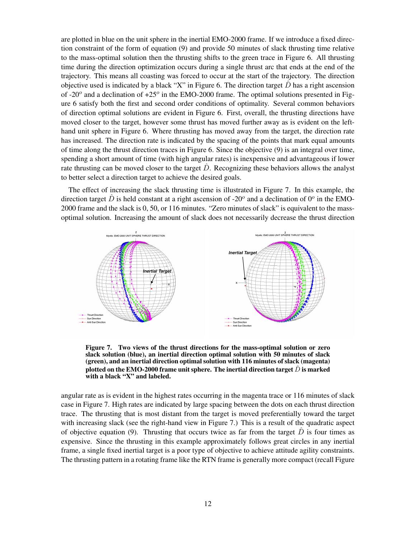are plotted in blue on the unit sphere in the inertial EMO-2000 frame. If we introduce a fixed direction constraint of the form of equation [\(9\)](#page-6-2) and provide 50 minutes of slack thrusting time relative to the mass-optimal solution then the thrusting shifts to the green trace in Figure [6.](#page-10-1) All thrusting time during the direction optimization occurs during a single thrust arc that ends at the end of the trajectory. This means all coasting was forced to occur at the start of the trajectory. The direction objective used is indicated by a black "X" in Figure [6.](#page-10-1) The direction target  $\ddot{D}$  has a right ascension of -20 $^{\circ}$  and a declination of +25 $^{\circ}$  in the EMO-2000 frame. The optimal solutions presented in Figure [6](#page-10-1) satisfy both the first and second order conditions of optimality. Several common behaviors of direction optimal solutions are evident in Figure [6.](#page-10-1) First, overall, the thrusting directions have moved closer to the target, however some thrust has moved further away as is evident on the lefthand unit sphere in Figure [6.](#page-10-1) Where thrusting has moved away from the target, the direction rate has increased. The direction rate is indicated by the spacing of the points that mark equal amounts of time along the thrust direction traces in Figure [6.](#page-10-1) Since the objective [\(9\)](#page-6-2) is an integral over time, spending a short amount of time (with high angular rates) is inexpensive and advantageous if lower rate thrusting can be moved closer to the target  $\ddot{D}$ . Recognizing these behaviors allows the analyst to better select a direction target to achieve the desired goals.

The effect of increasing the slack thrusting time is illustrated in Figure [7.](#page-11-0) In this example, the direction target  $\hat{D}$  is held constant at a right ascension of -20<sup>o</sup> and a declination of 0<sup>o</sup> in the EMO-2000 frame and the slack is 0, 50, or 116 minutes. "Zero minutes of slack" is equivalent to the massoptimal solution. Increasing the amount of slack does not necessarily decrease the thrust direction



<span id="page-11-0"></span>Figure 7. Two views of the thrust directions for the mass-optimal solution or zero slack solution (blue), an inertial direction optimal solution with 50 minutes of slack (green), and an inertial direction optimal solution with 116 minutes of slack (magenta) plotted on the EMO-2000 frame unit sphere. The inertial direction target  $\hat{D}$  is marked with a black "X" and labeled.

angular rate as is evident in the highest rates occurring in the magenta trace or 116 minutes of slack case in Figure [7.](#page-11-0) High rates are indicated by large spacing between the dots on each thrust direction trace. The thrusting that is most distant from the target is moved preferentially toward the target with increasing slack (see the right-hand view in Figure [7.](#page-11-0)) This is a result of the quadratic aspect of objective equation [\(9\)](#page-6-2). Thrusting that occurs twice as far from the target  $\ddot{D}$  is four times as expensive. Since the thrusting in this example approximately follows great circles in any inertial frame, a single fixed inertial target is a poor type of objective to achieve attitude agility constraints. The thrusting pattern in a rotating frame like the RTN frame is generally more compact (recall Figure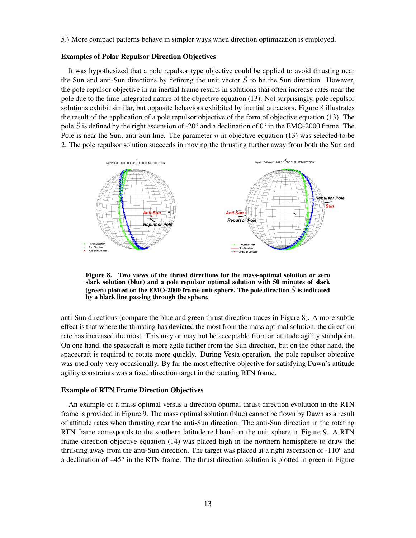[5.](#page-10-0)) More compact patterns behave in simpler ways when direction optimization is employed.

## Examples of Polar Repulsor Direction Objectives

It was hypothesized that a pole repulsor type objective could be applied to avoid thrusting near the Sun and anti-Sun directions by defining the unit vector  $\hat{S}$  to be the Sun direction. However, the pole repulsor objective in an inertial frame results in solutions that often increase rates near the pole due to the time-integrated nature of the objective equation [\(13\)](#page-7-0). Not surprisingly, pole repulsor solutions exhibit similar, but opposite behaviors exhibited by inertial attractors. Figure [8](#page-12-0) illustrates the result of the application of a pole repulsor objective of the form of objective equation [\(13\)](#page-7-0). The pole  $\hat{S}$  is defined by the right ascension of -20<sup>o</sup> and a declination of 0<sup>o</sup> in the EMO-2000 frame. The Pole is near the Sun, anti-Sun line. The parameter  $n$  in objective equation [\(13\)](#page-7-0) was selected to be 2. The pole repulsor solution succeeds in moving the thrusting further away from both the Sun and



<span id="page-12-0"></span>Figure 8. Two views of the thrust directions for the mass-optimal solution or zero slack solution (blue) and a pole repulsor optimal solution with 50 minutes of slack (green) plotted on the EMO-2000 frame unit sphere. The pole direction  $\ddot{S}$  is indicated by a black line passing through the sphere.

anti-Sun directions (compare the blue and green thrust direction traces in Figure [8\)](#page-12-0). A more subtle effect is that where the thrusting has deviated the most from the mass optimal solution, the direction rate has increased the most. This may or may not be acceptable from an attitude agility standpoint. On one hand, the spacecraft is more agile further from the Sun direction, but on the other hand, the spacecraft is required to rotate more quickly. During Vesta operation, the pole repulsor objective was used only very occasionally. By far the most effective objective for satisfying Dawn's attitude agility constraints was a fixed direction target in the rotating RTN frame.

#### Example of RTN Frame Direction Objectives

An example of a mass optimal versus a direction optimal thrust direction evolution in the RTN frame is provided in Figure [9.](#page-13-0) The mass optimal solution (blue) cannot be flown by Dawn as a result of attitude rates when thrusting near the anti-Sun direction. The anti-Sun direction in the rotating RTN frame corresponds to the southern latitude red band on the unit sphere in Figure [9.](#page-13-0) A RTN frame direction objective equation [\(14\)](#page-7-1) was placed high in the northern hemisphere to draw the thrusting away from the anti-Sun direction. The target was placed at a right ascension of  $-110^{\circ}$  and a declination of  $+45^\circ$  in the RTN frame. The thrust direction solution is plotted in green in Figure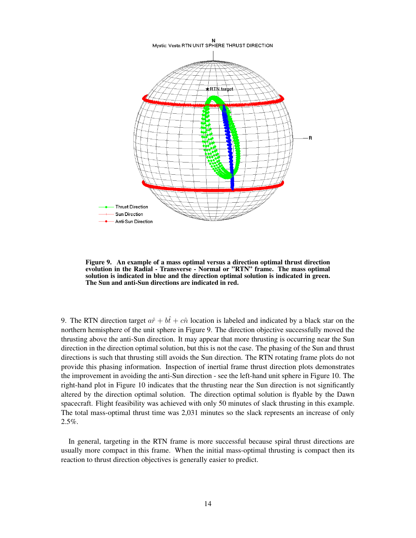

<span id="page-13-0"></span>Figure 9. An example of a mass optimal versus a direction optimal thrust direction evolution in the Radial - Transverse - Normal or "RTN" frame. The mass optimal solution is indicated in blue and the direction optimal solution is indicated in green. The Sun and anti-Sun directions are indicated in red.

[9.](#page-13-0) The RTN direction target  $a\hat{r} + b\hat{t} + c\hat{n}$  location is labeled and indicated by a black star on the northern hemisphere of the unit sphere in Figure [9.](#page-13-0) The direction objective successfully moved the thrusting above the anti-Sun direction. It may appear that more thrusting is occurring near the Sun direction in the direction optimal solution, but this is not the case. The phasing of the Sun and thrust directions is such that thrusting still avoids the Sun direction. The RTN rotating frame plots do not provide this phasing information. Inspection of inertial frame thrust direction plots demonstrates the improvement in avoiding the anti-Sun direction - see the left-hand unit sphere in Figure [10.](#page-14-0) The right-hand plot in Figure [10](#page-14-0) indicates that the thrusting near the Sun direction is not significantly altered by the direction optimal solution. The direction optimal solution is flyable by the Dawn spacecraft. Flight feasibility was achieved with only 50 minutes of slack thrusting in this example. The total mass-optimal thrust time was 2,031 minutes so the slack represents an increase of only 2.5%.

In general, targeting in the RTN frame is more successful because spiral thrust directions are usually more compact in this frame. When the initial mass-optimal thrusting is compact then its reaction to thrust direction objectives is generally easier to predict.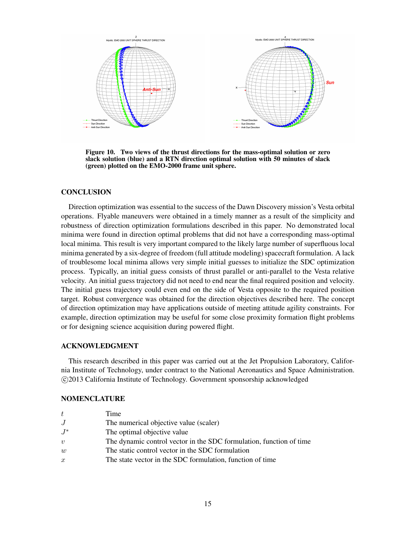

<span id="page-14-0"></span>Figure 10. Two views of the thrust directions for the mass-optimal solution or zero slack solution (blue) and a RTN direction optimal solution with 50 minutes of slack (green) plotted on the EMO-2000 frame unit sphere.

## **CONCLUSION**

Direction optimization was essential to the success of the Dawn Discovery mission's Vesta orbital operations. Flyable maneuvers were obtained in a timely manner as a result of the simplicity and robustness of direction optimization formulations described in this paper. No demonstrated local minima were found in direction optimal problems that did not have a corresponding mass-optimal local minima. This result is very important compared to the likely large number of superfluous local minima generated by a six-degree of freedom (full attitude modeling) spacecraft formulation. A lack of troublesome local minima allows very simple initial guesses to initialize the SDC optimization process. Typically, an initial guess consists of thrust parallel or anti-parallel to the Vesta relative velocity. An initial guess trajectory did not need to end near the final required position and velocity. The initial guess trajectory could even end on the side of Vesta opposite to the required position target. Robust convergence was obtained for the direction objectives described here. The concept of direction optimization may have applications outside of meeting attitude agility constraints. For example, direction optimization may be useful for some close proximity formation flight problems or for designing science acquisition during powered flight.

## ACKNOWLEDGMENT

This research described in this paper was carried out at the Jet Propulsion Laboratory, California Institute of Technology, under contract to the National Aeronautics and Space Administration. c 2013 California Institute of Technology. Government sponsorship acknowledged

#### NOMENCLATURE

| Time                                                                |
|---------------------------------------------------------------------|
| The numerical objective value (scaler)                              |
| The optimal objective value                                         |
| The dynamic control vector in the SDC formulation, function of time |
| The static control vector in the SDC formulation                    |
| The state vector in the SDC formulation, function of time           |
|                                                                     |